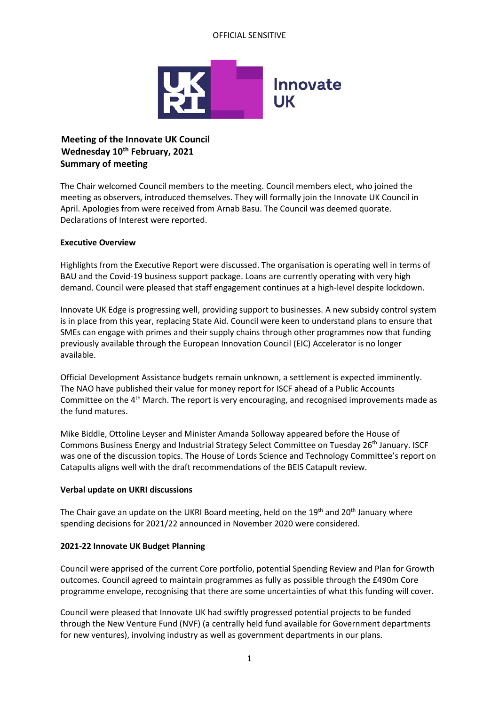# OFFICIAL SENSITIVE



# **Meeting of the Innovate UK Council Wednesday 10 th February, 2021 Summary of meeting**

The Chair welcomed Council members to the meeting. Council members elect, who joined the meeting as observers, introduced themselves. They will formally join the Innovate UK Council in April. Apologies from were received from Arnab Basu. The Council was deemed quorate. Declarations of Interest were reported.

### **Executive Overview**

Highlights from the Executive Report were discussed. The organisation is operating well in terms of BAU and the Covid-19 business support package. Loans are currently operating with very high demand. Council were pleased that staff engagement continues at a high-level despite lockdown.

Innovate UK Edge is progressing well, providing support to businesses. A new subsidy control system is in place from this year, replacing State Aid. Council were keen to understand plans to ensure that SMEs can engage with primes and their supply chains through other programmes now that funding previously available through the European Innovation Council (EIC) Accelerator is no longer available.

Official Development Assistance budgets remain unknown, a settlement is expected imminently. The NAO have published their value for money report for ISCF ahead of a Public Accounts Committee on the 4<sup>th</sup> March. The report is very encouraging, and recognised improvements made as the fund matures.

Mike Biddle, Ottoline Leyser and Minister Amanda Solloway appeared before the House of Commons Business Energy and Industrial Strategy Select Committee on Tuesday 26<sup>th</sup> January. ISCF was one of the discussion topics. The House of Lords Science and Technology Committee's report on Catapults aligns well with the draft recommendations of the BEIS Catapult review.

# **Verbal update on UKRI discussions**

The Chair gave an update on the UKRI Board meeting, held on the  $19<sup>th</sup>$  and  $20<sup>th</sup>$  January where spending decisions for 2021/22 announced in November 2020 were considered.

#### **2021-22 Innovate UK Budget Planning**

Council were apprised of the current Core portfolio, potential Spending Review and Plan for Growth outcomes. Council agreed to maintain programmes as fully as possible through the £490m Core programme envelope, recognising that there are some uncertainties of what this funding will cover.

Council were pleased that Innovate UK had swiftly progressed potential projects to be funded through the New Venture Fund (NVF) (a centrally held fund available for Government departments for new ventures), involving industry as well as government departments in our plans.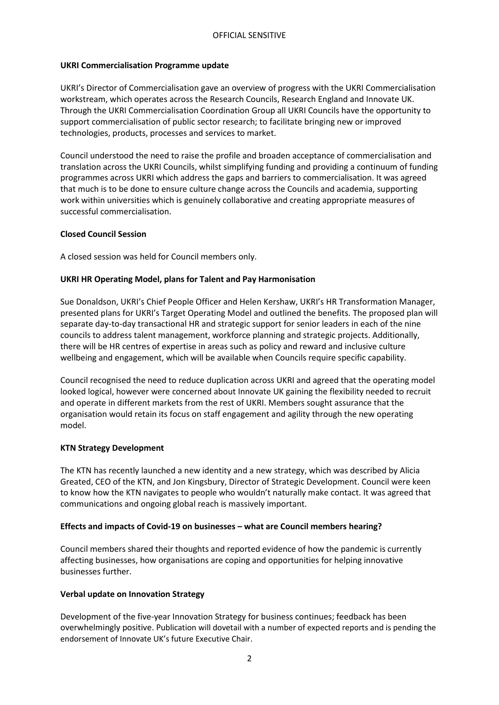### **UKRI Commercialisation Programme update**

UKRI's Director of Commercialisation gave an overview of progress with the UKRI Commercialisation workstream, which operates across the Research Councils, Research England and Innovate UK. Through the UKRI Commercialisation Coordination Group all UKRI Councils have the opportunity to support commercialisation of public sector research; to facilitate bringing new or improved technologies, products, processes and services to market.

Council understood the need to raise the profile and broaden acceptance of commercialisation and translation across the UKRI Councils, whilst simplifying funding and providing a continuum of funding programmes across UKRI which address the gaps and barriers to commercialisation. It was agreed that much is to be done to ensure culture change across the Councils and academia, supporting work within universities which is genuinely collaborative and creating appropriate measures of successful commercialisation.

### **Closed Council Session**

A closed session was held for Council members only.

# **UKRI HR Operating Model, plans for Talent and Pay Harmonisation**

Sue Donaldson, UKRI's Chief People Officer and Helen Kershaw, UKRI's HR Transformation Manager, presented plans for UKRI's Target Operating Model and outlined the benefits. The proposed plan will separate day-to-day transactional HR and strategic support for senior leaders in each of the nine councils to address talent management, workforce planning and strategic projects. Additionally, there will be HR centres of expertise in areas such as policy and reward and inclusive culture wellbeing and engagement, which will be available when Councils require specific capability.

Council recognised the need to reduce duplication across UKRI and agreed that the operating model looked logical, however were concerned about Innovate UK gaining the flexibility needed to recruit and operate in different markets from the rest of UKRI. Members sought assurance that the organisation would retain its focus on staff engagement and agility through the new operating model.

#### **KTN Strategy Development**

The KTN has recently launched a new identity and a new strategy, which was described by Alicia Greated, CEO of the KTN, and Jon Kingsbury, Director of Strategic Development. Council were keen to know how the KTN navigates to people who wouldn't naturally make contact. It was agreed that communications and ongoing global reach is massively important.

#### **Effects and impacts of Covid-19 on businesses – what are Council members hearing?**

Council members shared their thoughts and reported evidence of how the pandemic is currently affecting businesses, how organisations are coping and opportunities for helping innovative businesses further.

#### **Verbal update on Innovation Strategy**

Development of the five-year Innovation Strategy for business continues; feedback has been overwhelmingly positive. Publication will dovetail with a number of expected reports and is pending the endorsement of Innovate UK's future Executive Chair.